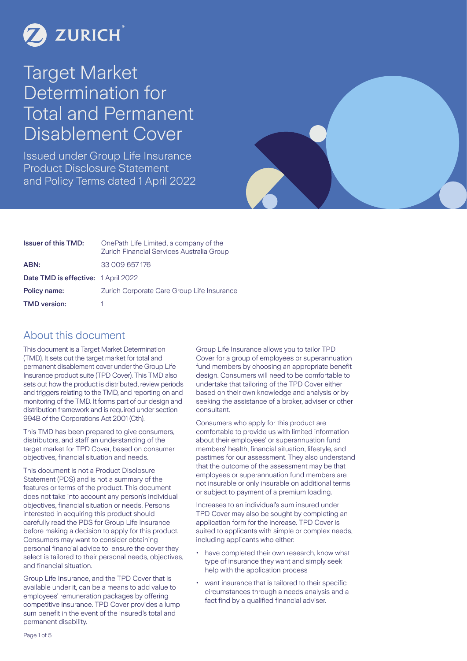

# Target Market Determination for Total and Permanent Disablement Cover

Issued under Group Life Insurance Product Disclosure Statement and Policy Terms dated 1 April 2022



| <b>Issuer of this TMD:</b>          | OnePath Life Limited, a company of the<br>Zurich Financial Services Australia Group |  |  |
|-------------------------------------|-------------------------------------------------------------------------------------|--|--|
| ABN:                                | 33 009 657 176                                                                      |  |  |
| Date TMD is effective: 1 April 2022 |                                                                                     |  |  |
| Policy name:                        | Zurich Corporate Care Group Life Insurance                                          |  |  |
| <b>TMD</b> version:                 |                                                                                     |  |  |

### About this document

This document is a Target Market Determination (TMD). It sets out the target market for total and permanent disablement cover under the Group Life Insurance product suite (TPD Cover). This TMD also sets out how the product is distributed, review periods and triggers relating to the TMD, and reporting on and monitoring of the TMD. It forms part of our design and distribution framework and is required under section 994B of the Corporations Act 2001 (Cth).

This TMD has been prepared to give consumers, distributors, and staff an understanding of the target market for TPD Cover, based on consumer objectives, financial situation and needs.

This document is not a Product Disclosure Statement (PDS) and is not a summary of the features or terms of the product. This document does not take into account any person's individual objectives, financial situation or needs. Persons interested in acquiring this product should carefully read the PDS for Group Life Insurance before making a decision to apply for this product. Consumers may want to consider obtaining personal financial advice to ensure the cover they select is tailored to their personal needs, objectives, and financial situation.

Group Life Insurance, and the TPD Cover that is available under it, can be a means to add value to employees' remuneration packages by offering competitive insurance. TPD Cover provides a lump sum benefit in the event of the insured's total and permanent disability.

Group Life Insurance allows you to tailor TPD Cover for a group of employees or superannuation fund members by choosing an appropriate benefit design. Consumers will need to be comfortable to undertake that tailoring of the TPD Cover either based on their own knowledge and analysis or by seeking the assistance of a broker, adviser or other consultant.

Consumers who apply for this product are comfortable to provide us with limited information about their employees' or superannuation fund members' health, financial situation, lifestyle, and pastimes for our assessment. They also understand that the outcome of the assessment may be that employees or superannuation fund members are not insurable or only insurable on additional terms or subject to payment of a premium loading.

Increases to an individual's sum insured under TPD Cover may also be sought by completing an application form for the increase. TPD Cover is suited to applicants with simple or complex needs, including applicants who either:

- have completed their own research, know what type of insurance they want and simply seek help with the application process
- want insurance that is tailored to their specific circumstances through a needs analysis and a fact find by a qualified financial adviser.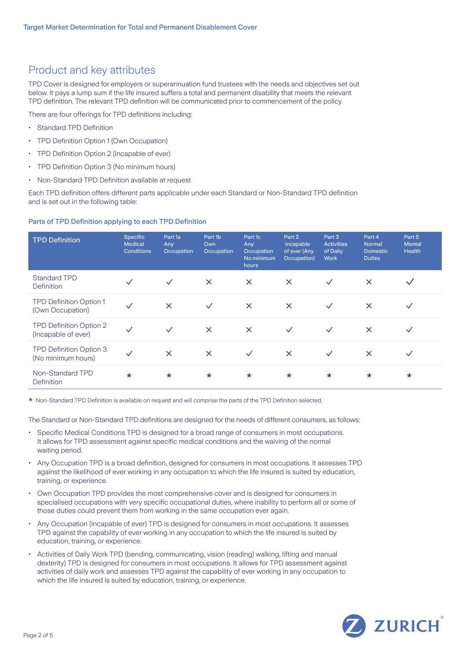# Product and key attributes

TPD Cover is designed for employers or superannuation fund trustees with the needs and objectives set out below. It pays a lump sum if the life insured suffers a total and permanent disability that meets the relevant TPD definition. The relevant TPD definition will be communicated prior to commencement of the policy.

There are four offerings for TPD definitions including:

- Standard TPD Definition
- TPD Definition Option 1 (Own Occupation)
- TPD Definition Option 2 (Incapable of ever)
- TPD Definition Option 3 (No minimum hours)
- Non-Standard TPD Definition available at request

Each TPD definition offers different parts applicable under each Standard or Non-Standard TPD definition and is set out in the following table:

### Parts of TPD Definition applying to each TPD Definition

| <b>TPD Definition</b>                          | <b>Specific</b><br><b>Medical</b><br><b>Conditions</b> | Part 1a<br>Any<br>Occupation | Part 1b<br>Own<br>Occupation | Part 1c<br>Any<br>Occupation<br>No minimum<br>hours | Part 2<br>Incapable<br>of ever (Any<br>Occupation) | Part 3<br><b>Activities</b><br>of Daily<br><b>Work</b> | Part 4<br><b>Normal</b><br><b>Domestic</b><br><b>Duties</b> | Part 5<br><b>Mental</b><br><b>Health</b> |
|------------------------------------------------|--------------------------------------------------------|------------------------------|------------------------------|-----------------------------------------------------|----------------------------------------------------|--------------------------------------------------------|-------------------------------------------------------------|------------------------------------------|
| <b>Standard TPD</b><br>Definition              |                                                        | $\checkmark$                 | $\times$                     | $\times$                                            | $\times$                                           | $\checkmark$                                           | $\times$                                                    |                                          |
| TPD Definition Option 1<br>(Own Occupation)    | $\checkmark$                                           | $\times$                     | $\checkmark$                 | $\times$                                            | $\times$                                           | $\checkmark$                                           | $\times$                                                    | $\checkmark$                             |
| TPD Definition Option 2<br>(Incapable of ever) | $\checkmark$                                           | $\checkmark$                 | $\times$                     | $\times$                                            | $\checkmark$                                       | $\checkmark$                                           | $\times$                                                    | $\checkmark$                             |
| TPD Definition Option 3<br>(No minimum hours)  | $\checkmark$                                           | $\times$                     | $\times$                     | $\checkmark$                                        | $\times$                                           | $\checkmark$                                           | $\times$                                                    | $\checkmark$                             |
| Non-Standard TPD<br>Definition                 | $\star$                                                | $\star$                      | $\star$                      | $\star$                                             | $\star$                                            | $\star$                                                | $\star$                                                     | $\star$                                  |

\* Non-Standard TPD Definition is available on request and will comprise the parts of the TPD Definition selected.

The Standard or Non-Standard TPD definitions are designed for the needs of different consumers, as follows:

- Specific Medical Conditions TPD is designed for a broad range of consumers in most occupations. It allows for TPD assessment against specific medical conditions and the waiving of the normal waiting period.
- Any Occupation TPD is a broad definition, designed for consumers in most occupations. It assesses TPD against the likelihood of ever working in any occupation to which the life insured is suited by education, training, or experience.
- Own Occupation TPD provides the most comprehensive cover and is designed for consumers in specialised occupations with very specific occupational duties, where inability to perform all or some of those duties could prevent them from working in the same occupation ever again.
- Any Occupation (Incapable of ever) TPD is designed for consumers in most occupations. It assesses TPD against the capability of ever working in any occupation to which the life insured is suited by education, training, or experience.
- Activities of Daily Work TPD (bending, communicating, vision (reading) walking, lifting and manual dexterity) TPD is designed for consumers in most occupations. It allows for TPD assessment against activities of daily work and assesses TPD against the capability of ever working in any occupation to which the life insured is suited by education, training, or experience.

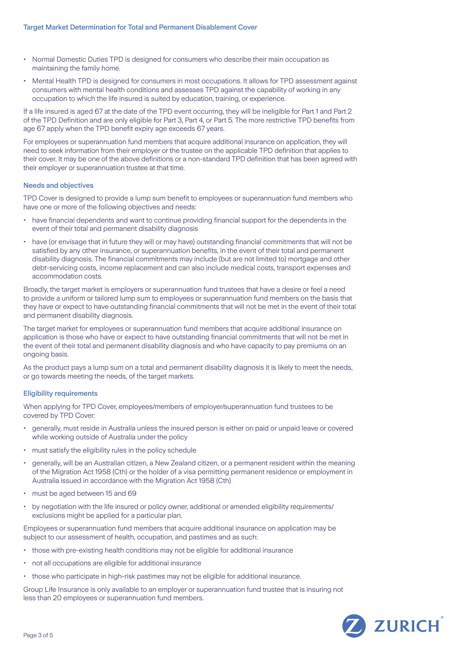- Normal Domestic Duties TPD is designed for consumers who describe their main occupation as maintaining the family home.
- Mental Health TPD is designed for consumers in most occupations. It allows for TPD assessment against consumers with mental health conditions and assesses TPD against the capability of working in any occupation to which the life insured is suited by education, training, or experience.

If a life insured is aged 67 at the date of the TPD event occurring, they will be ineligible for Part 1 and Part 2 of the TPD Definition and are only eligible for Part 3, Part 4, or Part 5. The more restrictive TPD benefits from age 67 apply when the TPD benefit expiry age exceeds 67 years.

For employees or superannuation fund members that acquire additional insurance on application, they will need to seek information from their employer or the trustee on the applicable TPD definition that applies to their cover. It may be one of the above definitions or a non-standard TPD definition that has been agreed with their employer or superannuation trustee at that time.

### Needs and objectives

TPD Cover is designed to provide a lump sum benefit to employees or superannuation fund members who have one or more of the following objectives and needs:

- have financial dependents and want to continue providing financial support for the dependents in the event of their total and permanent disability diagnosis
- have (or envisage that in future they will or may have) outstanding financial commitments that will not be satisfied by any other insurance, or superannuation benefits, in the event of their total and permanent disability diagnosis. The financial commitments may include (but are not limited to) mortgage and other debt-servicing costs, income replacement and can also include medical costs, transport expenses and accommodation costs.

Broadly, the target market is employers or superannuation fund trustees that have a desire or feel a need to provide a uniform or tailored lump sum to employees or superannuation fund members on the basis that they have or expect to have outstanding financial commitments that will not be met in the event of their total and permanent disability diagnosis.

The target market for employees or superannuation fund members that acquire additional insurance on application is those who have or expect to have outstanding financial commitments that will not be met in the event of their total and permanent disability diagnosis and who have capacity to pay premiums on an ongoing basis.

As the product pays a lump sum on a total and permanent disability diagnosis it is likely to meet the needs, or go towards meeting the needs, of the target markets.

### Eligibility requirements

When applying for TPD Cover, employees/members of employer/superannuation fund trustees to be covered by TPD Cover:

- generally, must reside in Australia unless the insured person is either on paid or unpaid leave or covered while working outside of Australia under the policy
- must satisfy the eligibility rules in the policy schedule
- generally, will be an Australian citizen, a New Zealand citizen, or a permanent resident within the meaning of the Migration Act 1958 (Cth) or the holder of a visa permitting permanent residence or employment in Australia issued in accordance with the Migration Act 1958 (Cth)
- must be aged between 15 and 69
- by negotiation with the life insured or policy owner, additional or amended eligibility requirements/ exclusions might be applied for a particular plan.

Employees or superannuation fund members that acquire additional insurance on application may be subject to our assessment of health, occupation, and pastimes and as such:

- those with pre-existing health conditions may not be eligible for additional insurance
- not all occupations are eligible for additional insurance
- those who participate in high-risk pastimes may not be eligible for additional insurance.

Group Life Insurance is only available to an employer or superannuation fund trustee that is insuring not less than 20 employees or superannuation fund members.

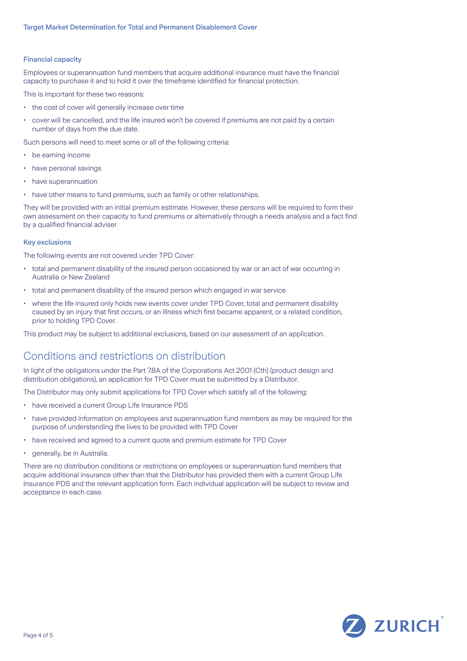### Financial capacity

Employees or superannuation fund members that acquire additional insurance must have the financial capacity to purchase it and to hold it over the timeframe identified for financial protection.

This is important for these two reasons:

- the cost of cover will generally increase over time
- cover will be cancelled, and the life insured won't be covered if premiums are not paid by a certain number of days from the due date.

Such persons will need to meet some or all of the following criteria:

- be earning income
- have personal savings
- have superannuation
- have other means to fund premiums, such as family or other relationships.

They will be provided with an initial premium estimate. However, these persons will be required to form their own assessment on their capacity to fund premiums or alternatively through a needs analysis and a fact find by a qualified financial adviser

### Key exclusions

The following events are not covered under TPD Cover:

- total and permanent disability of the insured person occasioned by war or an act of war occurring in Australia or New Zealand
- total and permanent disability of the insured person which engaged in war service
- where the life insured only holds new events cover under TPD Cover, total and permanent disability caused by an injury that first occurs, or an illness which first became apparent, or a related condition, prior to holding TPD Cover.

This product may be subject to additional exclusions, based on our assessment of an application.

## Conditions and restrictions on distribution

In light of the obligations under the Part 7.8A of the Corporations Act 2001 (Cth) (product design and distribution obligations), an application for TPD Cover must be submitted by a Distributor.

The Distributor may only submit applications for TPD Cover which satisfy all of the following:

- have received a current Group Life Insurance PDS
- have provided information on employees and superannuation fund members as may be required for the purpose of understanding the lives to be provided with TPD Cover
- have received and agreed to a current quote and premium estimate for TPD Cover
- generally, be in Australia.

There are no distribution conditions or restrictions on employees or superannuation fund members that acquire additional insurance other than that the Distributor has provided them with a current Group Life Insurance PDS and the relevant application form. Each individual application will be subject to review and acceptance in each case.